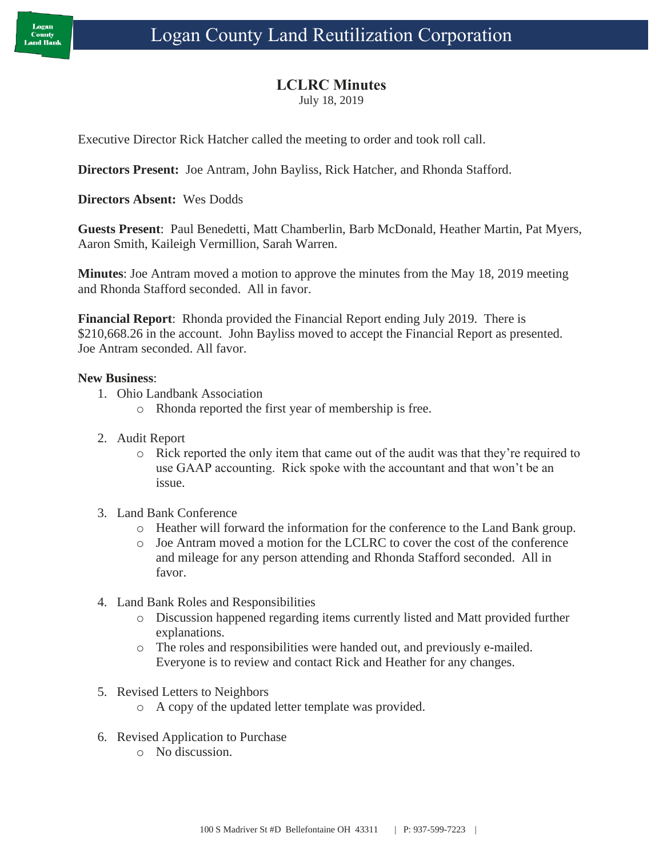## **LCLRC Minutes**

July 18, 2019

Executive Director Rick Hatcher called the meeting to order and took roll call.

**Directors Present:** Joe Antram, John Bayliss, Rick Hatcher, and Rhonda Stafford.

**Directors Absent:** Wes Dodds

**Guests Present**: Paul Benedetti, Matt Chamberlin, Barb McDonald, Heather Martin, Pat Myers, Aaron Smith, Kaileigh Vermillion, Sarah Warren.

**Minutes**: Joe Antram moved a motion to approve the minutes from the May 18, 2019 meeting and Rhonda Stafford seconded. All in favor.

**Financial Report**: Rhonda provided the Financial Report ending July 2019. There is \$210,668.26 in the account. John Bayliss moved to accept the Financial Report as presented. Joe Antram seconded. All favor.

## **New Business**:

- 1. Ohio Landbank Association
	- o Rhonda reported the first year of membership is free.
- 2. Audit Report
	- o Rick reported the only item that came out of the audit was that they're required to use GAAP accounting. Rick spoke with the accountant and that won't be an issue.
- 3. Land Bank Conference
	- o Heather will forward the information for the conference to the Land Bank group.
	- o Joe Antram moved a motion for the LCLRC to cover the cost of the conference and mileage for any person attending and Rhonda Stafford seconded. All in favor.
- 4. Land Bank Roles and Responsibilities
	- o Discussion happened regarding items currently listed and Matt provided further explanations.
	- o The roles and responsibilities were handed out, and previously e-mailed. Everyone is to review and contact Rick and Heather for any changes.
- 5. Revised Letters to Neighbors
	- o A copy of the updated letter template was provided.
- 6. Revised Application to Purchase
	- o No discussion.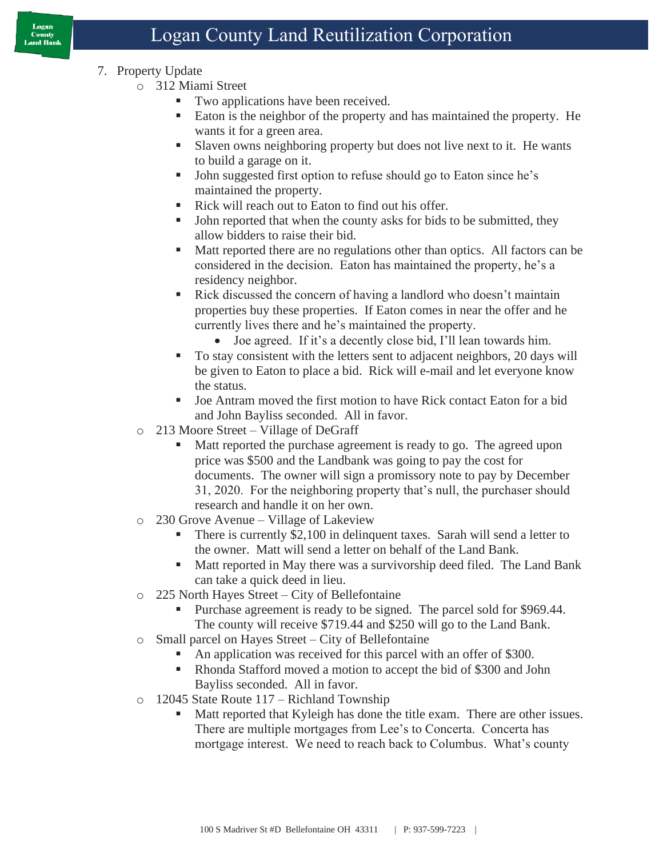- 7. Property Update
	- o 312 Miami Street
		- Two applications have been received.
		- Eaton is the neighbor of the property and has maintained the property. He wants it for a green area.
		- Slaven owns neighboring property but does not live next to it. He wants to build a garage on it.
		- John suggested first option to refuse should go to Eaton since he's maintained the property.
		- Rick will reach out to Eaton to find out his offer.
		- John reported that when the county asks for bids to be submitted, they allow bidders to raise their bid.
		- Matt reported there are no regulations other than optics. All factors can be considered in the decision. Eaton has maintained the property, he's a residency neighbor.
		- Rick discussed the concern of having a landlord who doesn't maintain properties buy these properties. If Eaton comes in near the offer and he currently lives there and he's maintained the property.
			- Joe agreed. If it's a decently close bid, I'll lean towards him.
		- To stay consistent with the letters sent to adjacent neighbors, 20 days will be given to Eaton to place a bid. Rick will e-mail and let everyone know the status.
		- Joe Antram moved the first motion to have Rick contact Eaton for a bid and John Bayliss seconded. All in favor.
	- o 213 Moore Street Village of DeGraff
		- Matt reported the purchase agreement is ready to go. The agreed upon price was \$500 and the Landbank was going to pay the cost for documents. The owner will sign a promissory note to pay by December 31, 2020. For the neighboring property that's null, the purchaser should research and handle it on her own.
	- o 230 Grove Avenue Village of Lakeview
		- There is currently \$2,100 in delinquent taxes. Sarah will send a letter to the owner. Matt will send a letter on behalf of the Land Bank.
		- Matt reported in May there was a survivorship deed filed. The Land Bank can take a quick deed in lieu.
	- o 225 North Hayes Street City of Bellefontaine
		- Purchase agreement is ready to be signed. The parcel sold for \$969.44. The county will receive \$719.44 and \$250 will go to the Land Bank.
	- o Small parcel on Hayes Street City of Bellefontaine
		- An application was received for this parcel with an offer of \$300.
		- Rhonda Stafford moved a motion to accept the bid of \$300 and John Bayliss seconded. All in favor.
	- o 12045 State Route 117 Richland Township
		- Matt reported that Kyleigh has done the title exam. There are other issues. There are multiple mortgages from Lee's to Concerta. Concerta has mortgage interest. We need to reach back to Columbus. What's county